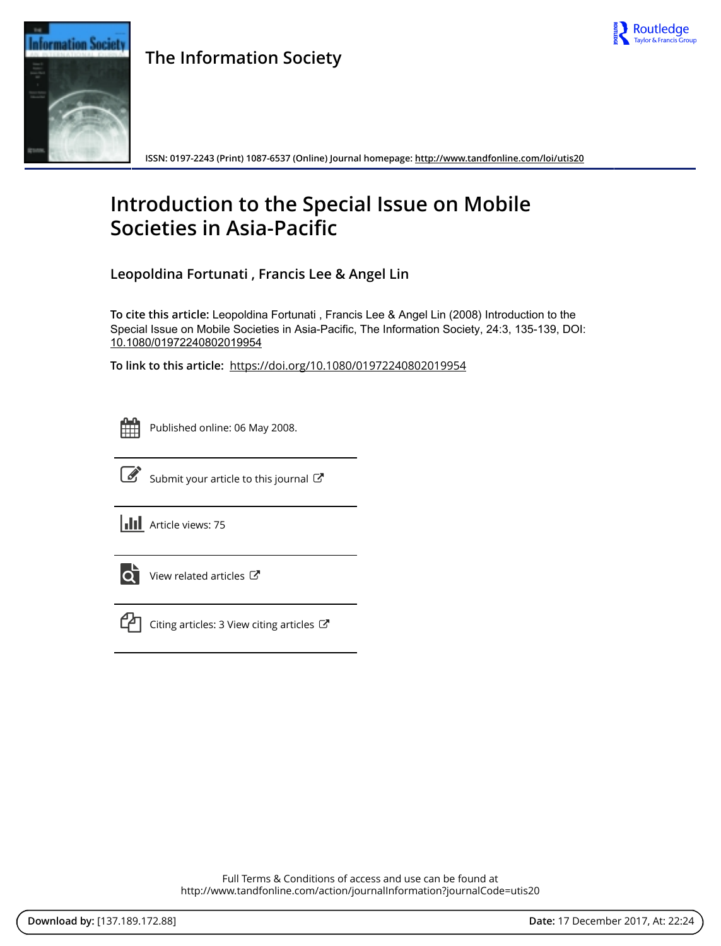

# nformation Society

**The Information Society**

**ISSN: 0197-2243 (Print) 1087-6537 (Online) Journal homepage:<http://www.tandfonline.com/loi/utis20>**

# **Introduction to the Special Issue on Mobile Societies in Asia-Pacific**

**Leopoldina Fortunati , Francis Lee & Angel Lin**

**To cite this article:** Leopoldina Fortunati , Francis Lee & Angel Lin (2008) Introduction to the Special Issue on Mobile Societies in Asia-Pacific, The Information Society, 24:3, 135-139, DOI: [10.1080/01972240802019954](http://www.tandfonline.com/action/showCitFormats?doi=10.1080/01972240802019954)

**To link to this article:** <https://doi.org/10.1080/01972240802019954>

|  | -- |  |
|--|----|--|
|  |    |  |
|  |    |  |
|  |    |  |

Published online: 06 May 2008.



 $\overrightarrow{S}$  [Submit your article to this journal](http://www.tandfonline.com/action/authorSubmission?journalCode=utis20&show=instructions)  $G$ 

**III** Article views: 75



 $\overline{Q}$  [View related articles](http://www.tandfonline.com/doi/mlt/10.1080/01972240802019954)  $\overline{C}$ 



 $\Box$  [Citing articles: 3 View citing articles](http://www.tandfonline.com/doi/citedby/10.1080/01972240802019954#tabModule)  $\Box$ 

Full Terms & Conditions of access and use can be found at <http://www.tandfonline.com/action/journalInformation?journalCode=utis20>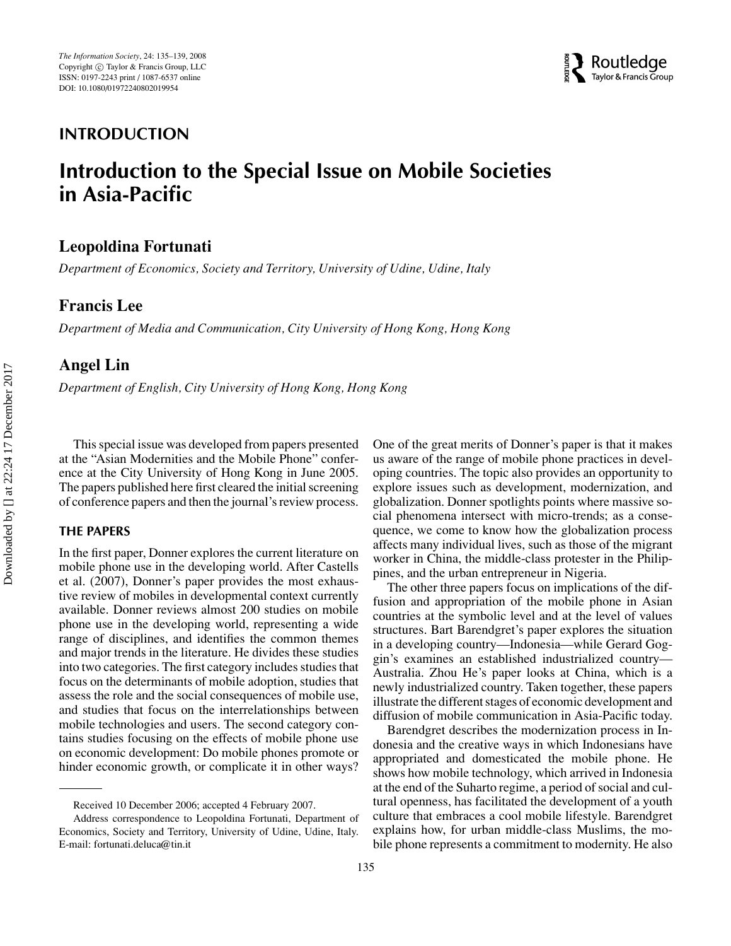

### **INTRODUCTION**

## **Introduction to the Special Issue on Mobile Societies in Asia-Pacific**

### **Leopoldina Fortunati**

*Department of Economics, Society and Territory, University of Udine, Udine, Italy*

### **Francis Lee**

*Department of Media and Communication, City University of Hong Kong, Hong Kong*

### **Angel Lin**

*Department of English, City University of Hong Kong, Hong Kong*

This special issue was developed from papers presented at the "Asian Modernities and the Mobile Phone" conference at the City University of Hong Kong in June 2005. The papers published here first cleared the initial screening of conference papers and then the journal's review process.

### **THE PAPERS**

In the first paper, Donner explores the current literature on mobile phone use in the developing world. After Castells et al. (2007), Donner's paper provides the most exhaustive review of mobiles in developmental context currently available. Donner reviews almost 200 studies on mobile phone use in the developing world, representing a wide range of disciplines, and identifies the common themes and major trends in the literature. He divides these studies into two categories. The first category includes studies that focus on the determinants of mobile adoption, studies that assess the role and the social consequences of mobile use, and studies that focus on the interrelationships between mobile technologies and users. The second category contains studies focusing on the effects of mobile phone use on economic development: Do mobile phones promote or hinder economic growth, or complicate it in other ways? One of the great merits of Donner's paper is that it makes us aware of the range of mobile phone practices in developing countries. The topic also provides an opportunity to explore issues such as development, modernization, and globalization. Donner spotlights points where massive social phenomena intersect with micro-trends; as a consequence, we come to know how the globalization process affects many individual lives, such as those of the migrant worker in China, the middle-class protester in the Philippines, and the urban entrepreneur in Nigeria.

The other three papers focus on implications of the diffusion and appropriation of the mobile phone in Asian countries at the symbolic level and at the level of values structures. Bart Barendgret's paper explores the situation in a developing country—Indonesia—while Gerard Goggin's examines an established industrialized country— Australia. Zhou He's paper looks at China, which is a newly industrialized country. Taken together, these papers illustrate the different stages of economic development and diffusion of mobile communication in Asia-Pacific today.

Barendgret describes the modernization process in Indonesia and the creative ways in which Indonesians have appropriated and domesticated the mobile phone. He shows how mobile technology, which arrived in Indonesia at the end of the Suharto regime, a period of social and cultural openness, has facilitated the development of a youth culture that embraces a cool mobile lifestyle. Barendgret explains how, for urban middle-class Muslims, the mobile phone represents a commitment to modernity. He also

Received 10 December 2006; accepted 4 February 2007.

Address correspondence to Leopoldina Fortunati, Department of Economics, Society and Territory, University of Udine, Udine, Italy. E-mail: fortunati.deluca@tin.it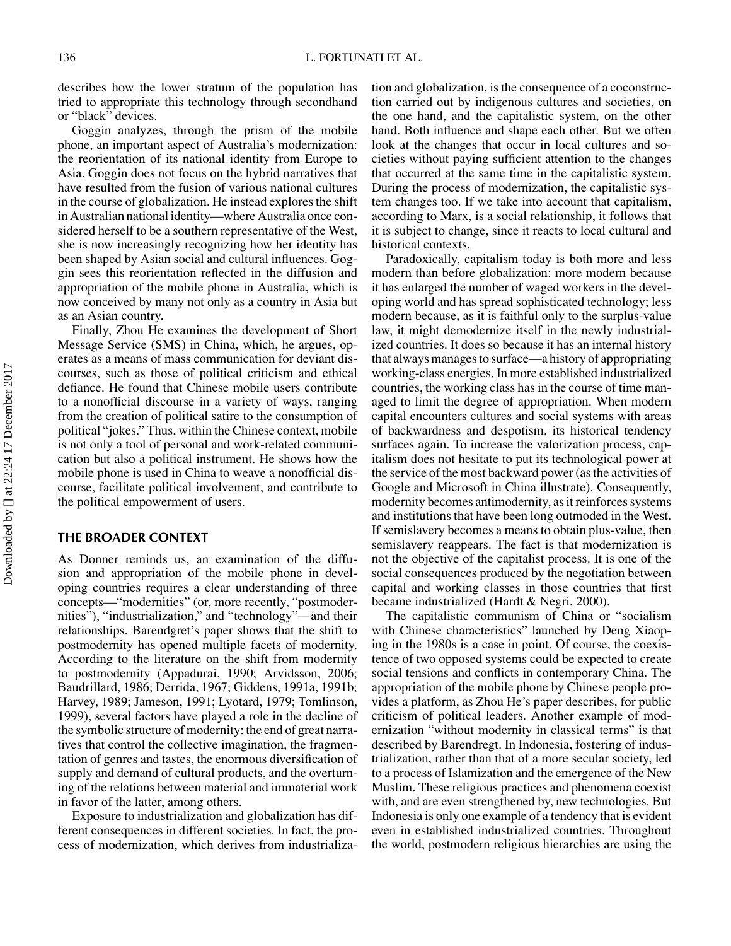describes how the lower stratum of the population has tried to appropriate this technology through secondhand or "black" devices.

Goggin analyzes, through the prism of the mobile phone, an important aspect of Australia's modernization: the reorientation of its national identity from Europe to Asia. Goggin does not focus on the hybrid narratives that have resulted from the fusion of various national cultures in the course of globalization. He instead explores the shift in Australian national identity—where Australia once considered herself to be a southern representative of the West, she is now increasingly recognizing how her identity has been shaped by Asian social and cultural influences. Goggin sees this reorientation reflected in the diffusion and appropriation of the mobile phone in Australia, which is now conceived by many not only as a country in Asia but as an Asian country.

Finally, Zhou He examines the development of Short Message Service (SMS) in China, which, he argues, operates as a means of mass communication for deviant discourses, such as those of political criticism and ethical defiance. He found that Chinese mobile users contribute to a nonofficial discourse in a variety of ways, ranging from the creation of political satire to the consumption of political "jokes." Thus, within the Chinese context, mobile is not only a tool of personal and work-related communication but also a political instrument. He shows how the mobile phone is used in China to weave a nonofficial discourse, facilitate political involvement, and contribute to the political empowerment of users.

### **THE BROADER CONTEXT**

As Donner reminds us, an examination of the diffusion and appropriation of the mobile phone in developing countries requires a clear understanding of three concepts—"modernities" (or, more recently, "postmodernities"), "industrialization," and "technology"—and their relationships. Barendgret's paper shows that the shift to postmodernity has opened multiple facets of modernity. According to the literature on the shift from modernity to postmodernity (Appadurai, 1990; Arvidsson, 2006; Baudrillard, 1986; Derrida, 1967; Giddens, 1991a, 1991b; Harvey, 1989; Jameson, 1991; Lyotard, 1979; Tomlinson, 1999), several factors have played a role in the decline of the symbolic structure of modernity: the end of great narratives that control the collective imagination, the fragmentation of genres and tastes, the enormous diversification of supply and demand of cultural products, and the overturning of the relations between material and immaterial work in favor of the latter, among others.

Exposure to industrialization and globalization has different consequences in different societies. In fact, the process of modernization, which derives from industrializa-

tion and globalization, is the consequence of a coconstruction carried out by indigenous cultures and societies, on the one hand, and the capitalistic system, on the other hand. Both influence and shape each other. But we often look at the changes that occur in local cultures and societies without paying sufficient attention to the changes that occurred at the same time in the capitalistic system. During the process of modernization, the capitalistic system changes too. If we take into account that capitalism, according to Marx, is a social relationship, it follows that it is subject to change, since it reacts to local cultural and historical contexts.

Paradoxically, capitalism today is both more and less modern than before globalization: more modern because it has enlarged the number of waged workers in the developing world and has spread sophisticated technology; less modern because, as it is faithful only to the surplus-value law, it might demodernize itself in the newly industrialized countries. It does so because it has an internal history that always manages to surface—a history of appropriating working-class energies. In more established industrialized countries, the working class has in the course of time managed to limit the degree of appropriation. When modern capital encounters cultures and social systems with areas of backwardness and despotism, its historical tendency surfaces again. To increase the valorization process, capitalism does not hesitate to put its technological power at the service of the most backward power (as the activities of Google and Microsoft in China illustrate). Consequently, modernity becomes antimodernity, as it reinforces systems and institutions that have been long outmoded in the West. If semislavery becomes a means to obtain plus-value, then semislavery reappears. The fact is that modernization is not the objective of the capitalist process. It is one of the social consequences produced by the negotiation between capital and working classes in those countries that first became industrialized (Hardt & Negri, 2000).

The capitalistic communism of China or "socialism with Chinese characteristics" launched by Deng Xiaoping in the 1980s is a case in point. Of course, the coexistence of two opposed systems could be expected to create social tensions and conflicts in contemporary China. The appropriation of the mobile phone by Chinese people provides a platform, as Zhou He's paper describes, for public criticism of political leaders. Another example of modernization "without modernity in classical terms" is that described by Barendregt. In Indonesia, fostering of industrialization, rather than that of a more secular society, led to a process of Islamization and the emergence of the New Muslim. These religious practices and phenomena coexist with, and are even strengthened by, new technologies. But Indonesia is only one example of a tendency that is evident even in established industrialized countries. Throughout the world, postmodern religious hierarchies are using the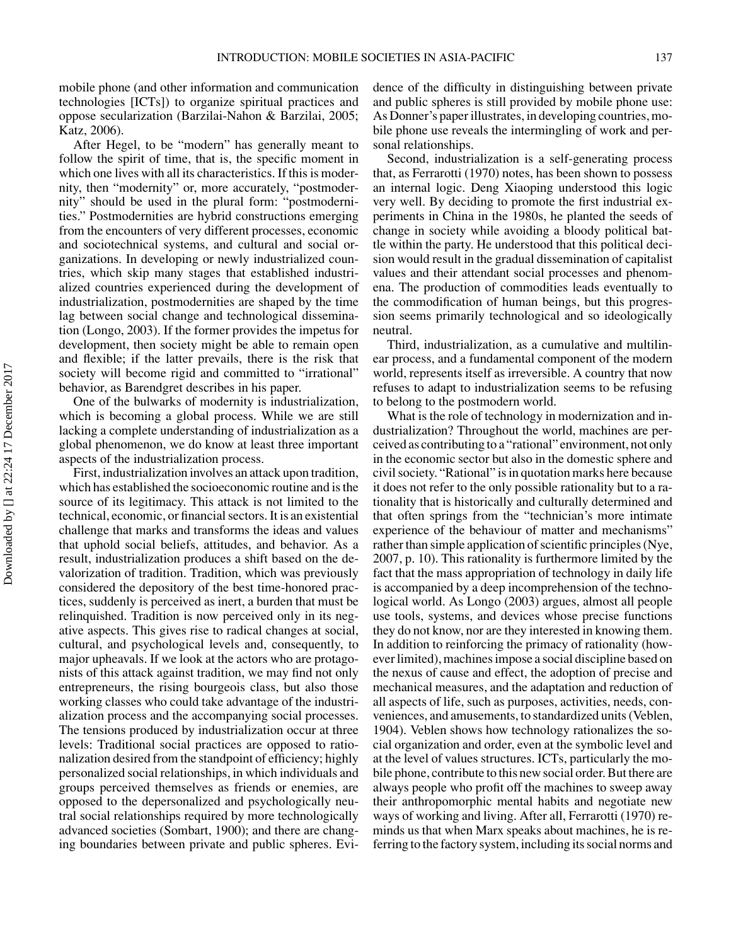mobile phone (and other information and communication technologies [ICTs]) to organize spiritual practices and oppose secularization (Barzilai-Nahon & Barzilai, 2005; Katz, 2006).

After Hegel, to be "modern" has generally meant to follow the spirit of time, that is, the specific moment in which one lives with all its characteristics. If this is modernity, then "modernity" or, more accurately, "postmodernity" should be used in the plural form: "postmodernities." Postmodernities are hybrid constructions emerging from the encounters of very different processes, economic and sociotechnical systems, and cultural and social organizations. In developing or newly industrialized countries, which skip many stages that established industrialized countries experienced during the development of industrialization, postmodernities are shaped by the time lag between social change and technological dissemination (Longo, 2003). If the former provides the impetus for development, then society might be able to remain open and flexible; if the latter prevails, there is the risk that society will become rigid and committed to "irrational" behavior, as Barendgret describes in his paper.

One of the bulwarks of modernity is industrialization, which is becoming a global process. While we are still lacking a complete understanding of industrialization as a global phenomenon, we do know at least three important aspects of the industrialization process.

First, industrialization involves an attack upon tradition, which has established the socioeconomic routine and is the source of its legitimacy. This attack is not limited to the technical, economic, or financial sectors. It is an existential challenge that marks and transforms the ideas and values that uphold social beliefs, attitudes, and behavior. As a result, industrialization produces a shift based on the devalorization of tradition. Tradition, which was previously considered the depository of the best time-honored practices, suddenly is perceived as inert, a burden that must be relinquished. Tradition is now perceived only in its negative aspects. This gives rise to radical changes at social, cultural, and psychological levels and, consequently, to major upheavals. If we look at the actors who are protagonists of this attack against tradition, we may find not only entrepreneurs, the rising bourgeois class, but also those working classes who could take advantage of the industrialization process and the accompanying social processes. The tensions produced by industrialization occur at three levels: Traditional social practices are opposed to rationalization desired from the standpoint of efficiency; highly personalized social relationships, in which individuals and groups perceived themselves as friends or enemies, are opposed to the depersonalized and psychologically neutral social relationships required by more technologically advanced societies (Sombart, 1900); and there are changing boundaries between private and public spheres. Evidence of the difficulty in distinguishing between private and public spheres is still provided by mobile phone use: As Donner's paper illustrates, in developing countries, mobile phone use reveals the intermingling of work and personal relationships.

Second, industrialization is a self-generating process that, as Ferrarotti (1970) notes, has been shown to possess an internal logic. Deng Xiaoping understood this logic very well. By deciding to promote the first industrial experiments in China in the 1980s, he planted the seeds of change in society while avoiding a bloody political battle within the party. He understood that this political decision would result in the gradual dissemination of capitalist values and their attendant social processes and phenomena. The production of commodities leads eventually to the commodification of human beings, but this progression seems primarily technological and so ideologically neutral.

Third, industrialization, as a cumulative and multilinear process, and a fundamental component of the modern world, represents itself as irreversible. A country that now refuses to adapt to industrialization seems to be refusing to belong to the postmodern world.

What is the role of technology in modernization and industrialization? Throughout the world, machines are perceived as contributing to a "rational" environment, not only in the economic sector but also in the domestic sphere and civil society. "Rational" is in quotation marks here because it does not refer to the only possible rationality but to a rationality that is historically and culturally determined and that often springs from the "technician's more intimate experience of the behaviour of matter and mechanisms" rather than simple application of scientific principles (Nye, 2007, p. 10). This rationality is furthermore limited by the fact that the mass appropriation of technology in daily life is accompanied by a deep incomprehension of the technological world. As Longo (2003) argues, almost all people use tools, systems, and devices whose precise functions they do not know, nor are they interested in knowing them. In addition to reinforcing the primacy of rationality (however limited), machines impose a social discipline based on the nexus of cause and effect, the adoption of precise and mechanical measures, and the adaptation and reduction of all aspects of life, such as purposes, activities, needs, conveniences, and amusements, to standardized units (Veblen, 1904). Veblen shows how technology rationalizes the social organization and order, even at the symbolic level and at the level of values structures. ICTs, particularly the mobile phone, contribute to this new social order. But there are always people who profit off the machines to sweep away their anthropomorphic mental habits and negotiate new ways of working and living. After all, Ferrarotti (1970) reminds us that when Marx speaks about machines, he is referring to the factory system, including its social norms and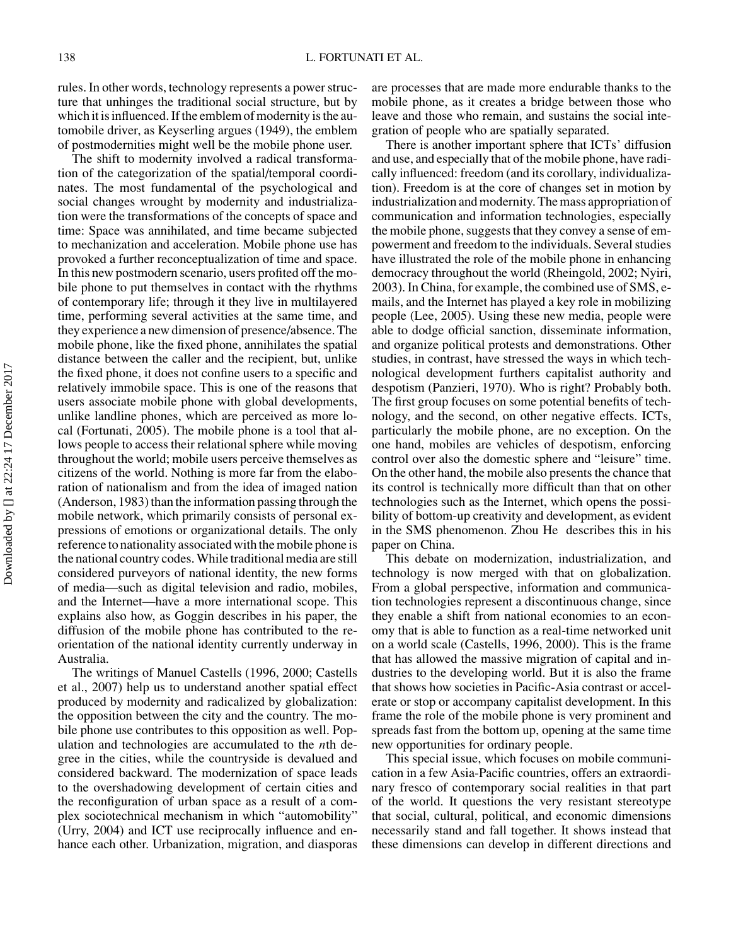rules. In other words, technology represents a power structure that unhinges the traditional social structure, but by which it is influenced. If the emblem of modernity is the automobile driver, as Keyserling argues (1949), the emblem of postmodernities might well be the mobile phone user.

The shift to modernity involved a radical transformation of the categorization of the spatial/temporal coordinates. The most fundamental of the psychological and social changes wrought by modernity and industrialization were the transformations of the concepts of space and time: Space was annihilated, and time became subjected to mechanization and acceleration. Mobile phone use has provoked a further reconceptualization of time and space. In this new postmodern scenario, users profited off the mobile phone to put themselves in contact with the rhythms of contemporary life; through it they live in multilayered time, performing several activities at the same time, and they experience a new dimension of presence/absence. The mobile phone, like the fixed phone, annihilates the spatial distance between the caller and the recipient, but, unlike the fixed phone, it does not confine users to a specific and relatively immobile space. This is one of the reasons that users associate mobile phone with global developments, unlike landline phones, which are perceived as more local (Fortunati, 2005). The mobile phone is a tool that allows people to access their relational sphere while moving throughout the world; mobile users perceive themselves as citizens of the world. Nothing is more far from the elaboration of nationalism and from the idea of imaged nation (Anderson, 1983) than the information passing through the mobile network, which primarily consists of personal expressions of emotions or organizational details. The only reference to nationality associated with the mobile phone is the national country codes. While traditional media are still considered purveyors of national identity, the new forms of media—such as digital television and radio, mobiles, and the Internet—have a more international scope. This explains also how, as Goggin describes in his paper, the diffusion of the mobile phone has contributed to the reorientation of the national identity currently underway in Australia.

The writings of Manuel Castells (1996, 2000; Castells et al., 2007) help us to understand another spatial effect produced by modernity and radicalized by globalization: the opposition between the city and the country. The mobile phone use contributes to this opposition as well. Population and technologies are accumulated to the *n*th degree in the cities, while the countryside is devalued and considered backward. The modernization of space leads to the overshadowing development of certain cities and the reconfiguration of urban space as a result of a complex sociotechnical mechanism in which "automobility" (Urry, 2004) and ICT use reciprocally influence and enhance each other. Urbanization, migration, and diasporas

are processes that are made more endurable thanks to the mobile phone, as it creates a bridge between those who leave and those who remain, and sustains the social integration of people who are spatially separated.

There is another important sphere that ICTs' diffusion and use, and especially that of the mobile phone, have radically influenced: freedom (and its corollary, individualization). Freedom is at the core of changes set in motion by industrialization and modernity. The mass appropriation of communication and information technologies, especially the mobile phone, suggests that they convey a sense of empowerment and freedom to the individuals. Several studies have illustrated the role of the mobile phone in enhancing democracy throughout the world (Rheingold, 2002; Nyiri, 2003). In China, for example, the combined use of SMS, emails, and the Internet has played a key role in mobilizing people (Lee, 2005). Using these new media, people were able to dodge official sanction, disseminate information, and organize political protests and demonstrations. Other studies, in contrast, have stressed the ways in which technological development furthers capitalist authority and despotism (Panzieri, 1970). Who is right? Probably both. The first group focuses on some potential benefits of technology, and the second, on other negative effects. ICTs, particularly the mobile phone, are no exception. On the one hand, mobiles are vehicles of despotism, enforcing control over also the domestic sphere and "leisure" time. On the other hand, the mobile also presents the chance that its control is technically more difficult than that on other technologies such as the Internet, which opens the possibility of bottom-up creativity and development, as evident in the SMS phenomenon. Zhou He describes this in his paper on China.

This debate on modernization, industrialization, and technology is now merged with that on globalization. From a global perspective, information and communication technologies represent a discontinuous change, since they enable a shift from national economies to an economy that is able to function as a real-time networked unit on a world scale (Castells, 1996, 2000). This is the frame that has allowed the massive migration of capital and industries to the developing world. But it is also the frame that shows how societies in Pacific-Asia contrast or accelerate or stop or accompany capitalist development. In this frame the role of the mobile phone is very prominent and spreads fast from the bottom up, opening at the same time new opportunities for ordinary people.

This special issue, which focuses on mobile communication in a few Asia-Pacific countries, offers an extraordinary fresco of contemporary social realities in that part of the world. It questions the very resistant stereotype that social, cultural, political, and economic dimensions necessarily stand and fall together. It shows instead that these dimensions can develop in different directions and